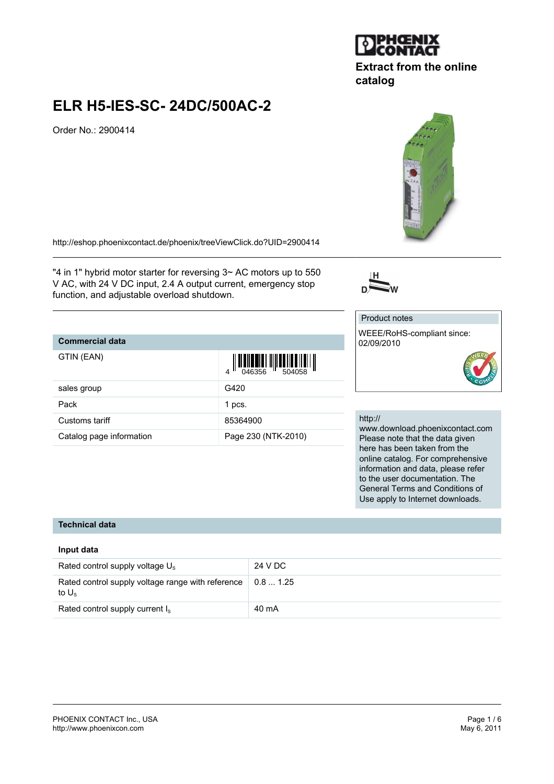

## **Extract from the online catalog**

## **ELR H5-IES-SC- 24DC/500AC-2**

Order No.: 2900414

<http://eshop.phoenixcontact.de/phoenix/treeViewClick.do?UID=2900414>

"4 in 1" hybrid motor starter for reversing 3~ AC motors up to 550 V AC, with 24 V DC input, 2.4 A output current, emergency stop function, and adjustable overload shutdown.

## **Commercial data**

| GTIN (EAN)               | $\begin{array}{c} 1 \\ 046356 \end{array}$<br>$\mathbf{A}$ |
|--------------------------|------------------------------------------------------------|
| sales group              | G420                                                       |
| Pack                     | 1 pcs.                                                     |
| Customs tariff           | 85364900                                                   |
| Catalog page information | Page 230 (NTK-2010)                                        |



# Product notes

WEEE/RoHS-compliant since: 02/09/2010



#### http://

www.download.phoenixcontact.com Please note that the data given here has been taken from the online catalog. For comprehensive information and data, please refer to the user documentation. The General Terms and Conditions of Use apply to Internet downloads.

## **Technical data**

#### **Input data**

| Rated control supply voltage $U_s$                                  | 24 V DC                     |
|---------------------------------------------------------------------|-----------------------------|
| Rated control supply voltage range with reference<br>to $U_{\rm s}$ | $\vert\,$ 0.8  1.25 $\vert$ |
| Rated control supply current $I_s$                                  | 40 mA                       |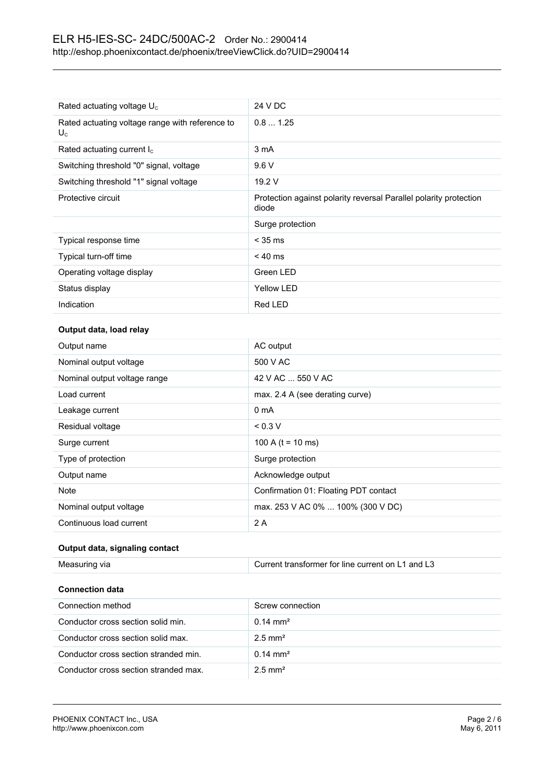| Rated actuating voltage $U_c$                            | 24 V DC                                                                    |
|----------------------------------------------------------|----------------------------------------------------------------------------|
| Rated actuating voltage range with reference to<br>$U_c$ | 0.81.25                                                                    |
| Rated actuating current $I_c$                            | 3 mA                                                                       |
| Switching threshold "0" signal, voltage                  | 9.6V                                                                       |
| Switching threshold "1" signal voltage                   | 19.2 V                                                                     |
| Protective circuit                                       | Protection against polarity reversal Parallel polarity protection<br>diode |
|                                                          | Surge protection                                                           |
| Typical response time                                    | $<$ 35 ms                                                                  |
| Typical turn-off time                                    | $< 40$ ms                                                                  |
| Operating voltage display                                | Green LED                                                                  |
| Status display                                           | <b>Yellow LED</b>                                                          |
| Indication                                               | Red LED                                                                    |

### **Output data, load relay**

| Output name                  | AC output                             |
|------------------------------|---------------------------------------|
| Nominal output voltage       | 500 V AC                              |
| Nominal output voltage range | 42 V AC  550 V AC                     |
| Load current                 | max. 2.4 A (see derating curve)       |
| Leakage current              | 0 <sub>m</sub> A                      |
| Residual voltage             | < 0.3 V                               |
| Surge current                | 100 A ( $t = 10$ ms)                  |
| Type of protection           | Surge protection                      |
| Output name                  | Acknowledge output                    |
| <b>Note</b>                  | Confirmation 01: Floating PDT contact |
| Nominal output voltage       | max. 253 V AC 0%  100% (300 V DC)     |
| Continuous load current      | 2 A                                   |

#### **Output data, signaling contact**

| Measuring via                         | Current transformer for line current on L1 and L3 |
|---------------------------------------|---------------------------------------------------|
| <b>Connection data</b>                |                                                   |
|                                       |                                                   |
| Connection method                     | Screw connection                                  |
| Conductor cross section solid min.    | $0.14 \text{ mm}^2$                               |
| Conductor cross section solid max.    | $2.5$ mm <sup>2</sup>                             |
| Conductor cross section stranded min. | $0.14 \text{ mm}^2$                               |

Conductor cross section stranded max. 2.5 mm²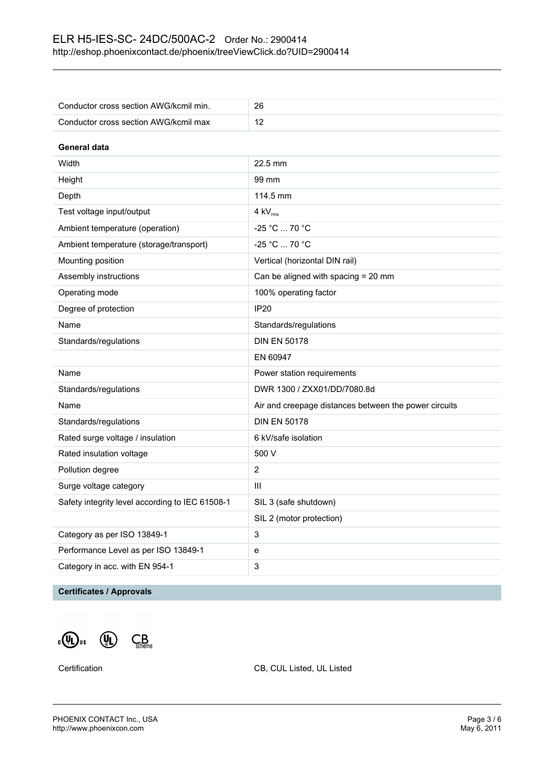| Conductor cross section AWG/kcmil min.          | 26                                                    |  |
|-------------------------------------------------|-------------------------------------------------------|--|
| Conductor cross section AWG/kcmil max           | 12                                                    |  |
| General data                                    |                                                       |  |
| Width                                           | 22.5 mm                                               |  |
| Height                                          | 99 mm                                                 |  |
|                                                 | 114.5 mm                                              |  |
| Depth                                           |                                                       |  |
| Test voltage input/output                       | $4$ kV $_{rms}$                                       |  |
| Ambient temperature (operation)                 | -25 °C  70 °C                                         |  |
| Ambient temperature (storage/transport)         | -25 °C  70 °C                                         |  |
| Mounting position                               | Vertical (horizontal DIN rail)                        |  |
| Assembly instructions                           | Can be aligned with spacing = 20 mm                   |  |
| Operating mode                                  | 100% operating factor                                 |  |
| Degree of protection                            | <b>IP20</b>                                           |  |
| Name                                            | Standards/regulations                                 |  |
| Standards/regulations                           | <b>DIN EN 50178</b>                                   |  |
|                                                 | EN 60947                                              |  |
| Name                                            | Power station requirements                            |  |
| Standards/regulations                           | DWR 1300 / ZXX01/DD/7080.8d                           |  |
| Name                                            | Air and creepage distances between the power circuits |  |
| Standards/regulations                           | <b>DIN EN 50178</b>                                   |  |
| Rated surge voltage / insulation                | 6 kV/safe isolation                                   |  |
| Rated insulation voltage                        | 500 V                                                 |  |
| Pollution degree                                | $\overline{2}$                                        |  |
| Surge voltage category                          | Ш                                                     |  |
| Safety integrity level according to IEC 61508-1 | SIL 3 (safe shutdown)                                 |  |
|                                                 | SIL 2 (motor protection)                              |  |
| Category as per ISO 13849-1                     | 3                                                     |  |
| Performance Level as per ISO 13849-1            | е                                                     |  |
| Category in acc. with EN 954-1                  | 3                                                     |  |

## **Certificates / Approvals**

 $\mathbf{C}_{\text{c}}(\mathbf{U}_{\text{L}})$  us  $\mathbf{U}_{\text{L}}(\mathbf{U}_{\text{L}})$   $\mathbf{C}_{\text{c'heline}}$ 

Certification Certification CB, CUL Listed, UL Listed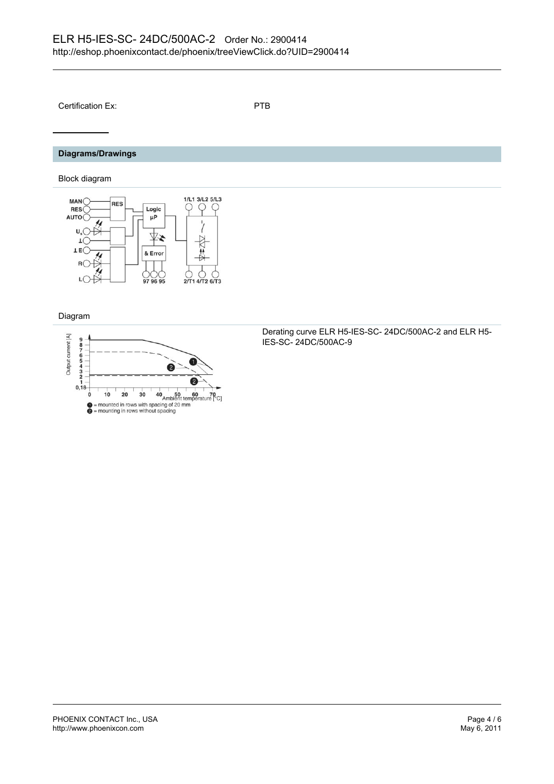Certification Ex: PTB

## **Diagrams/Drawings**

Block diagram



Diagram



Derating curve ELR H5-IES-SC- 24DC/500AC-2 and ELR H5- IES-SC- 24DC/500AC-9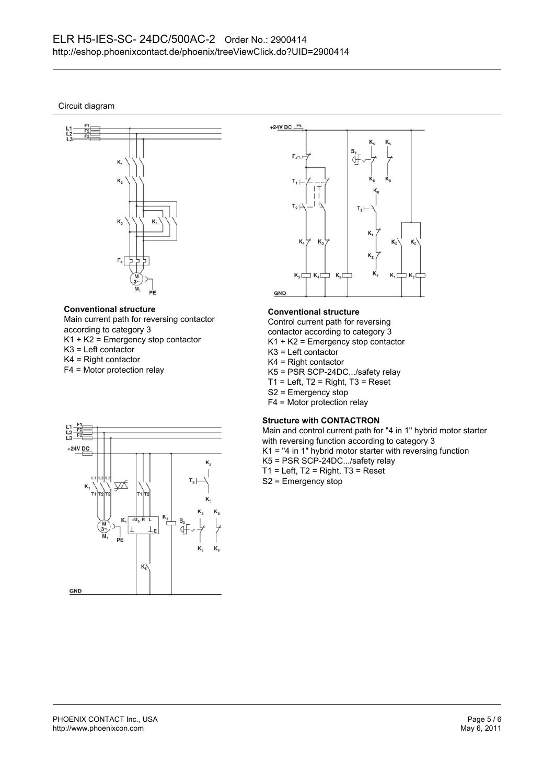Circuit diagram



#### **Conventional structure**

Main current path for reversing contactor according to category 3 K1 + K2 = Emergency stop contactor K3 = Left contactor K4 = Right contactor

F4 = Motor protection relay



#### **Conventional structure**

Control current path for reversing contactor according to category 3

- K1 + K2 = Emergency stop contactor
- K3 = Left contactor
- K4 = Right contactor
- K5 = PSR SCP-24DC.../safety relay
- $T1$  = Left,  $T2$  = Right,  $T3$  = Reset
- S2 = Emergency stop
- F4 = Motor protection relay

#### **Structure with CONTACTRON**

Main and control current path for "4 in 1" hybrid motor starter with reversing function according to category 3 K1 = "4 in 1" hybrid motor starter with reversing function K5 = PSR SCP-24DC.../safety relay  $T1$  = Left,  $T2$  = Right,  $T3$  = Reset S2 = Emergency stop